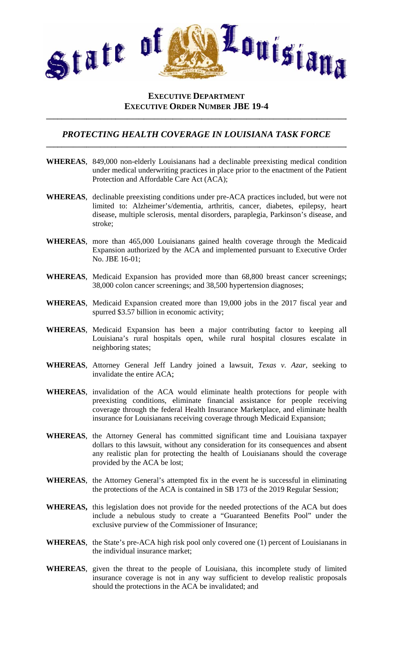

## **EXECUTIVE DEPARTMENT EXECUTIVE ORDER NUMBER JBE 19-4**

## PROTECTING HEALTH COVERAGE IN LOUISIANA TASK FORCE

- **WHEREAS,** 849,000 non-elderly Louisianans had a declinable preexisting medical condition under medical underwriting practices in place prior to the enactment of the Patient Protection and Affordable Care Act (ACA);
- WHEREAS, declinable preexisting conditions under pre-ACA practices included, but were not limited to: Alzheimer's/dementia, arthritis, cancer, diabetes, epilepsy, heart disease, multiple sclerosis, mental disorders, paraplegia, Parkinson's disease, and stroke;
- WHEREAS, more than 465,000 Louisianans gained health coverage through the Medicaid Expansion authorized by the ACA and implemented pursuant to Executive Order No. JBE 16-01;
- WHEREAS, Medicaid Expansion has provided more than 68,800 breast cancer screenings; 38,000 colon cancer screenings; and 38,500 hypertension diagnoses;
- WHEREAS, Medicaid Expansion created more than 19,000 jobs in the 2017 fiscal year and spurred \$3.57 billion in economic activity;
- WHEREAS, Medicaid Expansion has been a major contributing factor to keeping all Louisiana's rural hospitals open, while rural hospital closures escalate in neighboring states;
- WHEREAS, Attorney General Jeff Landry joined a lawsuit, Texas v. Azar, seeking to invalidate the entire ACA:
- WHEREAS, invalidation of the ACA would eliminate health protections for people with preexisting conditions, eliminate financial assistance for people receiving coverage through the federal Health Insurance Marketplace, and eliminate health insurance for Louisianans receiving coverage through Medicaid Expansion;
- WHEREAS, the Attorney General has committed significant time and Louisiana taxpayer dollars to this lawsuit, without any consideration for its consequences and absent any realistic plan for protecting the health of Louisianans should the coverage provided by the ACA be lost;
- **WHEREAS**, the Attorney General's attempted fix in the event he is successful in eliminating the protections of the ACA is contained in SB 173 of the 2019 Regular Session;
- WHEREAS, this legislation does not provide for the needed protections of the ACA but does include a nebulous study to create a "Guaranteed Benefits Pool" under the exclusive purview of the Commissioner of Insurance;
- **WHEREAS**, the State's pre-ACA high risk pool only covered one (1) percent of Louisianans in the individual insurance market;
- WHEREAS, given the threat to the people of Louisiana, this incomplete study of limited insurance coverage is not in any way sufficient to develop realistic proposals should the protections in the ACA be invalidated; and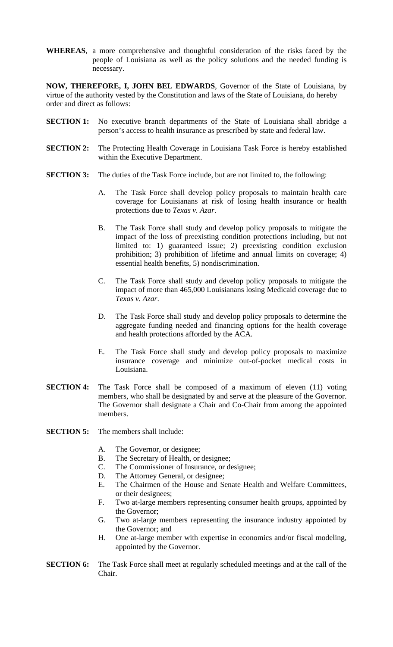**WHEREAS**, a more comprehensive and thoughtful consideration of the risks faced by the people of Louisiana as well as the policy solutions and the needed funding is necessary.

**NOW, THEREFORE, I, JOHN BEL EDWARDS**, Governor of the State of Louisiana, by virtue of the authority vested by the Constitution and laws of the State of Louisiana, do hereby order and direct as follows:

- **SECTION 1:** No executive branch departments of the State of Louisiana shall abridge a person's access to health insurance as prescribed by state and federal law.
- **SECTION 2:** The Protecting Health Coverage in Louisiana Task Force is hereby established within the Executive Department.
- **SECTION 3:** The duties of the Task Force include, but are not limited to, the following:
	- A. The Task Force shall develop policy proposals to maintain health care coverage for Louisianans at risk of losing health insurance or health protections due to *Texas v. Azar*.
	- B. The Task Force shall study and develop policy proposals to mitigate the impact of the loss of preexisting condition protections including, but not limited to: 1) guaranteed issue; 2) preexisting condition exclusion prohibition; 3) prohibition of lifetime and annual limits on coverage; 4) essential health benefits, 5) nondiscrimination.
	- C. The Task Force shall study and develop policy proposals to mitigate the impact of more than 465,000 Louisianans losing Medicaid coverage due to *Texas v. Azar*.
	- D. The Task Force shall study and develop policy proposals to determine the aggregate funding needed and financing options for the health coverage and health protections afforded by the ACA.
	- E. The Task Force shall study and develop policy proposals to maximize insurance coverage and minimize out-of-pocket medical costs in Louisiana.
- **SECTION 4:** The Task Force shall be composed of a maximum of eleven (11) voting members, who shall be designated by and serve at the pleasure of the Governor. The Governor shall designate a Chair and Co-Chair from among the appointed members.
- **SECTION 5:** The members shall include:
	- A. The Governor, or designee;
	- B. The Secretary of Health, or designee;
	- C. The Commissioner of Insurance, or designee;
	- D. The Attorney General, or designee;
	- E. The Chairmen of the House and Senate Health and Welfare Committees, or their designees;
	- F. Two at-large members representing consumer health groups, appointed by the Governor;
	- G. Two at-large members representing the insurance industry appointed by the Governor; and
	- H. One at-large member with expertise in economics and/or fiscal modeling, appointed by the Governor.
- **SECTION 6:** The Task Force shall meet at regularly scheduled meetings and at the call of the Chair.